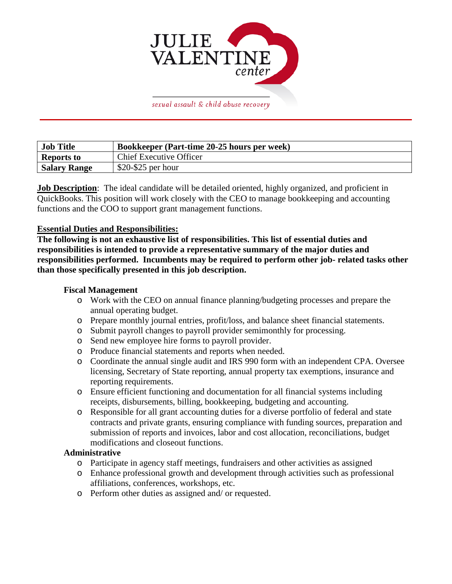

sexual assault & child abuse recovery

| <b>Job Title</b>    | Bookkeeper (Part-time 20-25 hours per week) |
|---------------------|---------------------------------------------|
| <b>Reports to</b>   | <b>Chief Executive Officer</b>              |
| <b>Salary Range</b> | $$20-\$25$ per hour                         |

**Job Description**: The ideal candidate will be detailed oriented, highly organized, and proficient in QuickBooks. This position will work closely with the CEO to manage bookkeeping and accounting functions and the COO to support grant management functions.

## **Essential Duties and Responsibilities:**

**The following is not an exhaustive list of responsibilities. This list of essential duties and responsibilities is intended to provide a representative summary of the major duties and responsibilities performed. Incumbents may be required to perform other job- related tasks other than those specifically presented in this job description.**

## **Fiscal Management**

- o Work with the CEO on annual finance planning/budgeting processes and prepare the annual operating budget.
- o Prepare monthly journal entries, profit/loss, and balance sheet financial statements.
- o Submit payroll changes to payroll provider semimonthly for processing.
- o Send new employee hire forms to payroll provider.
- o Produce financial statements and reports when needed.
- o Coordinate the annual single audit and IRS 990 form with an independent CPA. Oversee licensing, Secretary of State reporting, annual property tax exemptions, insurance and reporting requirements.
- o Ensure efficient functioning and documentation for all financial systems including receipts, disbursements, billing, bookkeeping, budgeting and accounting.
- o Responsible for all grant accounting duties for a diverse portfolio of federal and state contracts and private grants, ensuring compliance with funding sources, preparation and submission of reports and invoices, labor and cost allocation, reconciliations, budget modifications and closeout functions.

## **Administrative**

- o Participate in agency staff meetings, fundraisers and other activities as assigned
- o Enhance professional growth and development through activities such as professional affiliations, conferences, workshops, etc.
- o Perform other duties as assigned and/ or requested.